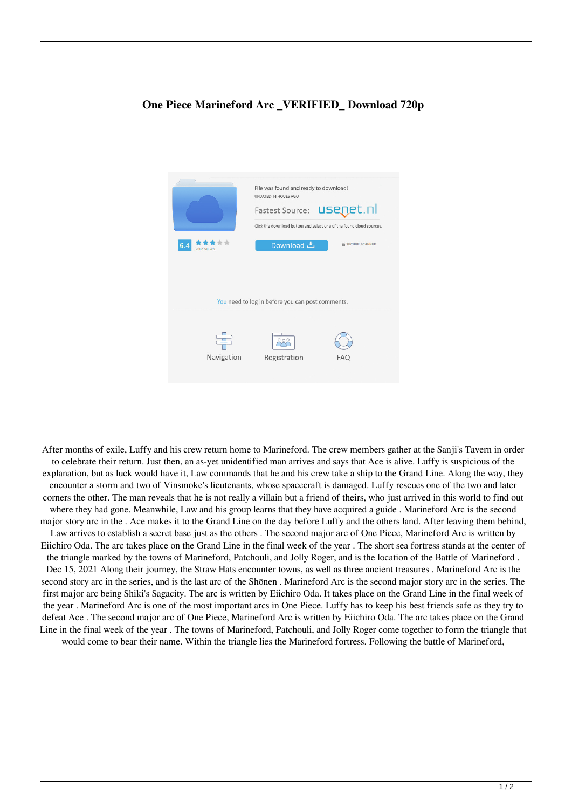## **One Piece Marineford Arc \_VERIFIED\_ Download 720p**



After months of exile, Luffy and his crew return home to Marineford. The crew members gather at the Sanji's Tavern in order to celebrate their return. Just then, an as-yet unidentified man arrives and says that Ace is alive. Luffy is suspicious of the explanation, but as luck would have it, Law commands that he and his crew take a ship to the Grand Line. Along the way, they encounter a storm and two of Vinsmoke's lieutenants, whose spacecraft is damaged. Luffy rescues one of the two and later corners the other. The man reveals that he is not really a villain but a friend of theirs, who just arrived in this world to find out where they had gone. Meanwhile, Law and his group learns that they have acquired a guide . Marineford Arc is the second major story arc in the . Ace makes it to the Grand Line on the day before Luffy and the others land. After leaving them behind, Law arrives to establish a secret base just as the others . The second major arc of One Piece, Marineford Arc is written by Eiichiro Oda. The arc takes place on the Grand Line in the final week of the year . The short sea fortress stands at the center of the triangle marked by the towns of Marineford, Patchouli, and Jolly Roger, and is the location of the Battle of Marineford . Dec 15, 2021 Along their journey, the Straw Hats encounter towns, as well as three ancient treasures . Marineford Arc is the second story arc in the series, and is the last arc of the Shōnen . Marineford Arc is the second major story arc in the series. The first major arc being Shiki's Sagacity. The arc is written by Eiichiro Oda. It takes place on the Grand Line in the final week of the year . Marineford Arc is one of the most important arcs in One Piece. Luffy has to keep his best friends safe as they try to defeat Ace . The second major arc of One Piece, Marineford Arc is written by Eiichiro Oda. The arc takes place on the Grand Line in the final week of the year . The towns of Marineford, Patchouli, and Jolly Roger come together to form the triangle that would come to bear their name. Within the triangle lies the Marineford fortress. Following the battle of Marineford,